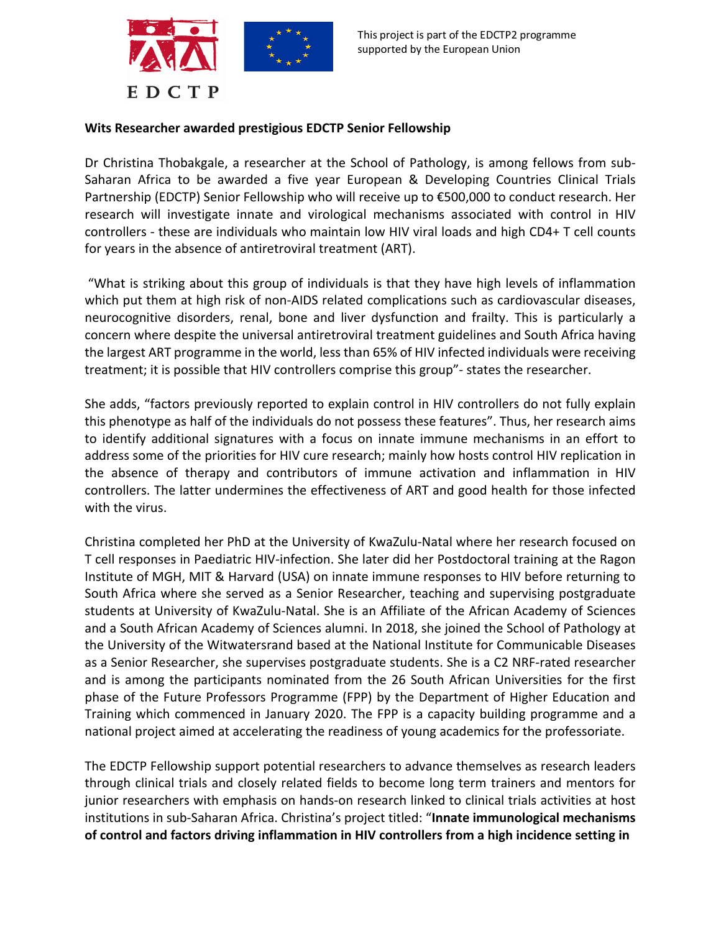

## **Wits Researcher awarded prestigious EDCTP Senior Fellowship**

Dr Christina Thobakgale, a researcher at the School of Pathology, is among fellows from sub-Saharan Africa to be awarded a five year European & Developing Countries Clinical Trials Partnership (EDCTP) Senior Fellowship who will receive up to €500,000 to conduct research. Her research will investigate innate and virological mechanisms associated with control in HIV controllers - these are individuals who maintain low HIV viral loads and high CD4+ T cell counts for years in the absence of antiretroviral treatment (ART).

"What is striking about this group of individuals is that they have high levels of inflammation which put them at high risk of non-AIDS related complications such as cardiovascular diseases, neurocognitive disorders, renal, bone and liver dysfunction and frailty. This is particularly a concern where despite the universal antiretroviral treatment guidelines and South Africa having the largest ART programme in the world, less than 65% of HIV infected individuals were receiving treatment; it is possible that HIV controllers comprise this group"- states the researcher.

She adds, "factors previously reported to explain control in HIV controllers do not fully explain this phenotype as half of the individuals do not possess these features". Thus, her research aims to identify additional signatures with a focus on innate immune mechanisms in an effort to address some of the priorities for HIV cure research; mainly how hosts control HIV replication in the absence of therapy and contributors of immune activation and inflammation in HIV controllers. The latter undermines the effectiveness of ART and good health for those infected with the virus.

Christina completed her PhD at the University of KwaZulu-Natal where her research focused on T cell responses in Paediatric HIV-infection. She later did her Postdoctoral training at the Ragon Institute of MGH, MIT & Harvard (USA) on innate immune responses to HIV before returning to South Africa where she served as a Senior Researcher, teaching and supervising postgraduate students at University of KwaZulu-Natal. She is an Affiliate of the African Academy of Sciences and a South African Academy of Sciences alumni. In 2018, she joined the School of Pathology at the University of the Witwatersrand based at the National Institute for Communicable Diseases as a Senior Researcher, she supervises postgraduate students. She is a C2 NRF-rated researcher and is among the participants nominated from the 26 South African Universities for the first phase of the Future Professors Programme (FPP) by the Department of Higher Education and Training which commenced in January 2020. The FPP is a capacity building programme and a national project aimed at accelerating the readiness of young academics for the professoriate.

The EDCTP Fellowship support potential researchers to advance themselves as research leaders through clinical trials and closely related fields to become long term trainers and mentors for junior researchers with emphasis on hands-on research linked to clinical trials activities at host institutions in sub-Saharan Africa. Christina's project titled: "**Innate immunological mechanisms of control and factors driving inflammation in HIV controllers from a high incidence setting in**